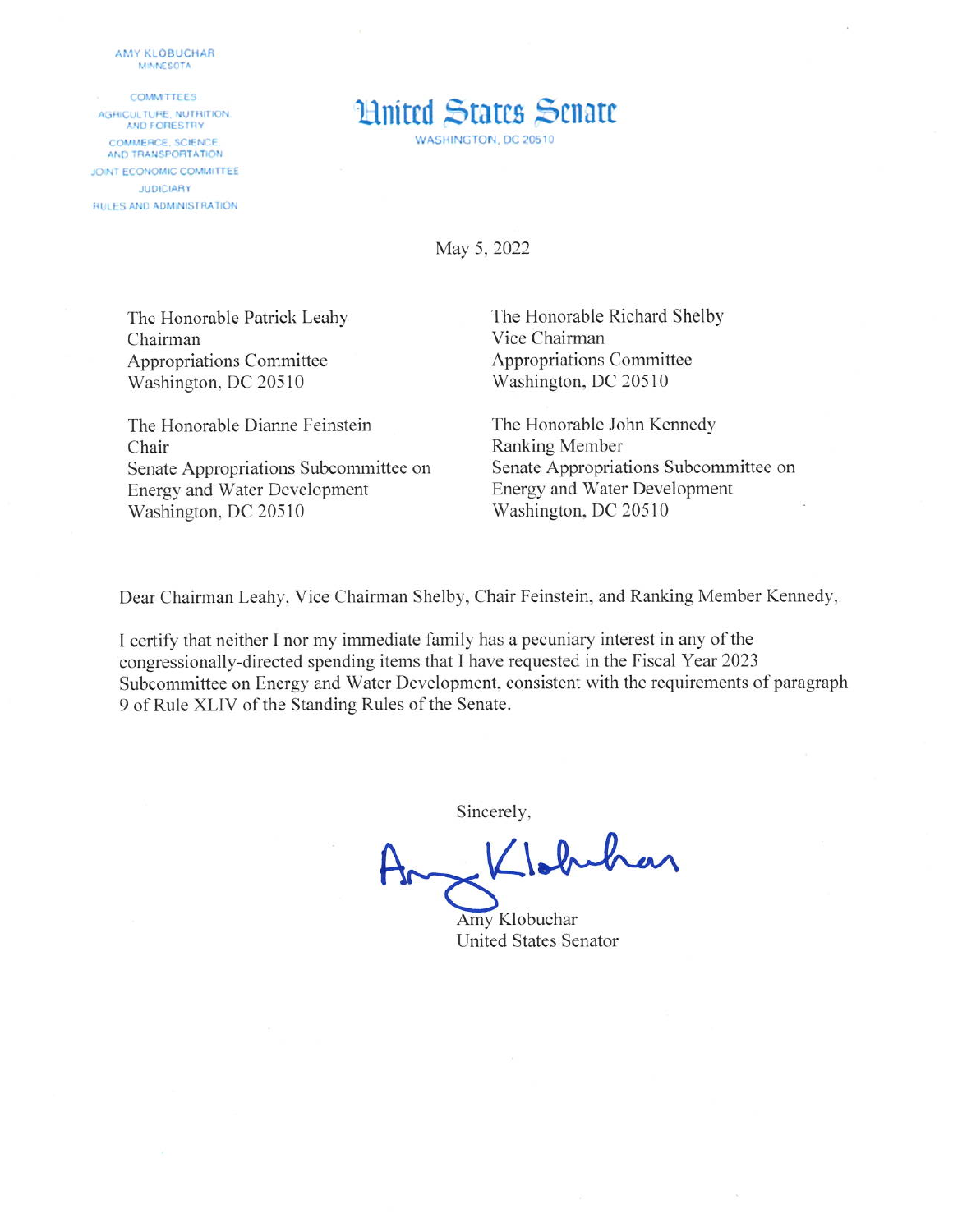AMY KLOBUCHAR **MINNESOTA** 

**COMMITTEES** AGRICULTURE, NUTRITION. **AND FORESTRY** COMMERCE, SCIENCE AND TRANSPORTATION JOINT ECONOMIC COMMITTEE **JUDICIARY RULES AND ADMINISTRATION** 



May 5, 2022

The Honorable Patrick Leahy Chairman Appropriations Committee Washington, DC 20510

The Honorable Dianne Feinstein Chair Senate Appropriations Subcommittee on **Energy and Water Development** Washington, DC 20510

The Honorable Richard Shelby Vice Chairman Appropriations Committee Washington, DC 20510

The Honorable John Kennedy Ranking Member Senate Appropriations Subcommittee on **Energy and Water Development** Washington, DC 20510

Dear Chairman Leahy, Vice Chairman Shelby, Chair Feinstein, and Ranking Member Kennedy,

I certify that neither I nor my immediate family has a pecuniary interest in any of the congressionally-directed spending items that I have requested in the Fiscal Year 2023 Subcommittee on Energy and Water Development, consistent with the requirements of paragraph 9 of Rule XLIV of the Standing Rules of the Senate.

Sincerely,

Klobuhan

Amy Klobuchar **United States Senator**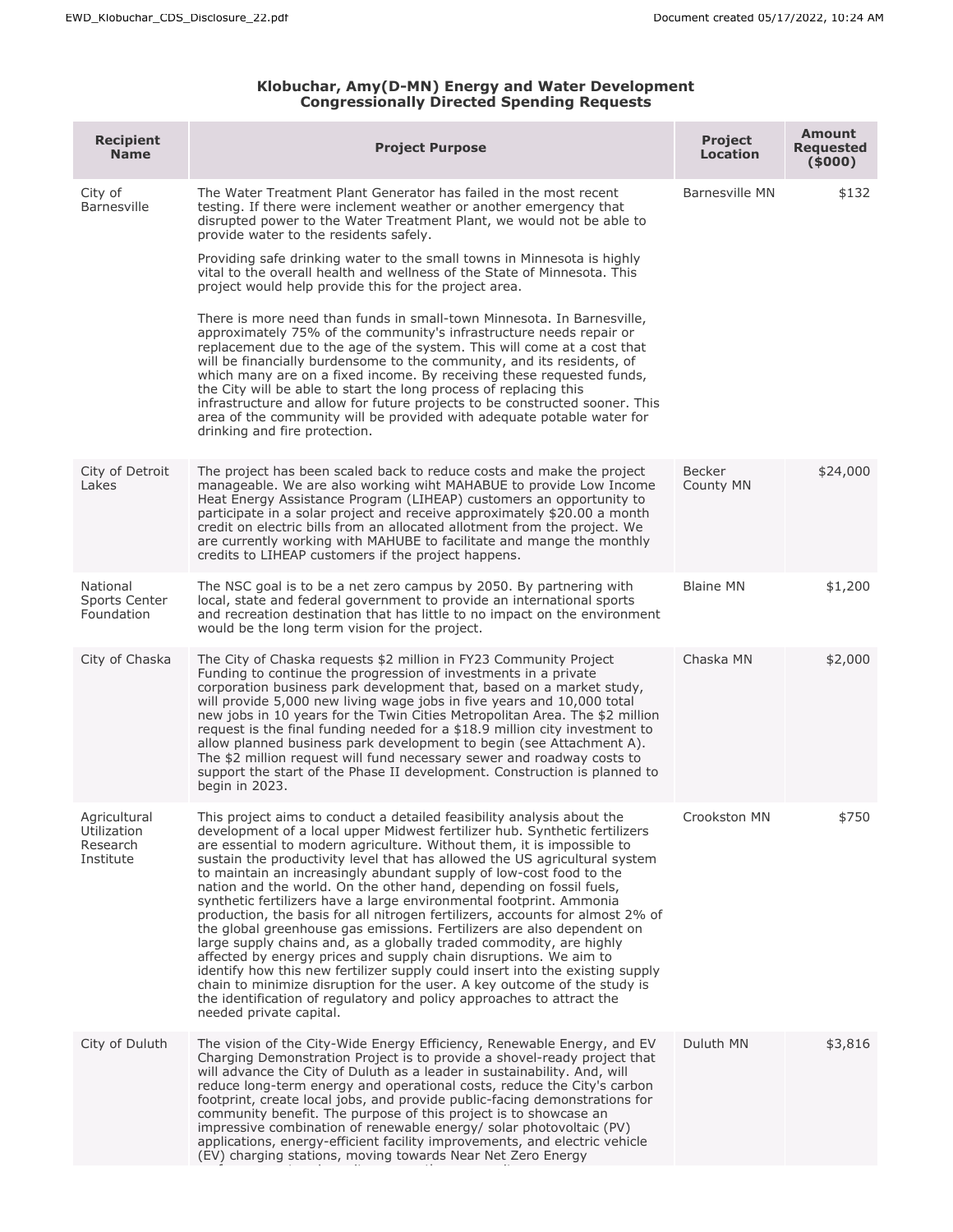## **Klobuchar, Amy(D-MN) Energy and Water Development Congressionally Directed Spending Requests**

| <b>Recipient</b><br><b>Name</b>                      | <b>Project Purpose</b>                                                                                                                                                                                                                                                                                                                                                                                                                                                                                                                                                                                                                                                                                                                                                                                                                                                                                                                                                                                                                                                                                                   | <b>Project</b><br><b>Location</b> | <b>Amount</b><br><b>Requested</b><br>(5000) |
|------------------------------------------------------|--------------------------------------------------------------------------------------------------------------------------------------------------------------------------------------------------------------------------------------------------------------------------------------------------------------------------------------------------------------------------------------------------------------------------------------------------------------------------------------------------------------------------------------------------------------------------------------------------------------------------------------------------------------------------------------------------------------------------------------------------------------------------------------------------------------------------------------------------------------------------------------------------------------------------------------------------------------------------------------------------------------------------------------------------------------------------------------------------------------------------|-----------------------------------|---------------------------------------------|
| City of<br><b>Barnesville</b>                        | The Water Treatment Plant Generator has failed in the most recent<br>testing. If there were inclement weather or another emergency that<br>disrupted power to the Water Treatment Plant, we would not be able to<br>provide water to the residents safely.<br>Providing safe drinking water to the small towns in Minnesota is highly<br>vital to the overall health and wellness of the State of Minnesota. This<br>project would help provide this for the project area.<br>There is more need than funds in small-town Minnesota. In Barnesville,<br>approximately 75% of the community's infrastructure needs repair or<br>replacement due to the age of the system. This will come at a cost that<br>will be financially burdensome to the community, and its residents, of<br>which many are on a fixed income. By receiving these requested funds,<br>the City will be able to start the long process of replacing this<br>infrastructure and allow for future projects to be constructed sooner. This<br>area of the community will be provided with adequate potable water for<br>drinking and fire protection. | <b>Barnesville MN</b>             | \$132                                       |
| City of Detroit<br>Lakes                             | The project has been scaled back to reduce costs and make the project<br>manageable. We are also working wiht MAHABUE to provide Low Income<br>Heat Energy Assistance Program (LIHEAP) customers an opportunity to<br>participate in a solar project and receive approximately \$20.00 a month<br>credit on electric bills from an allocated allotment from the project. We<br>are currently working with MAHUBE to facilitate and mange the monthly<br>credits to LIHEAP customers if the project happens.                                                                                                                                                                                                                                                                                                                                                                                                                                                                                                                                                                                                              | Becker<br>County MN               | \$24,000                                    |
| National<br>Sports Center<br>Foundation              | The NSC goal is to be a net zero campus by 2050. By partnering with<br>local, state and federal government to provide an international sports<br>and recreation destination that has little to no impact on the environment<br>would be the long term vision for the project.                                                                                                                                                                                                                                                                                                                                                                                                                                                                                                                                                                                                                                                                                                                                                                                                                                            | <b>Blaine MN</b>                  | \$1,200                                     |
| City of Chaska                                       | The City of Chaska requests \$2 million in FY23 Community Project<br>Funding to continue the progression of investments in a private<br>corporation business park development that, based on a market study,<br>will provide 5,000 new living wage jobs in five years and 10,000 total<br>new jobs in 10 years for the Twin Cities Metropolitan Area. The \$2 million<br>request is the final funding needed for a \$18.9 million city investment to<br>allow planned business park development to begin (see Attachment A).<br>The \$2 million request will fund necessary sewer and roadway costs to<br>support the start of the Phase II development. Construction is planned to<br>begin in 2023.                                                                                                                                                                                                                                                                                                                                                                                                                    | Chaska MN                         | \$2,000                                     |
| Agricultural<br>Utilization<br>Research<br>Institute | This project aims to conduct a detailed feasibility analysis about the<br>development of a local upper Midwest fertilizer hub. Synthetic fertilizers<br>are essential to modern agriculture. Without them, it is impossible to<br>sustain the productivity level that has allowed the US agricultural system<br>to maintain an increasingly abundant supply of low-cost food to the<br>nation and the world. On the other hand, depending on fossil fuels,<br>synthetic fertilizers have a large environmental footprint. Ammonia<br>production, the basis for all nitrogen fertilizers, accounts for almost 2% of<br>the global greenhouse gas emissions. Fertilizers are also dependent on<br>large supply chains and, as a globally traded commodity, are highly<br>affected by energy prices and supply chain disruptions. We aim to<br>identify how this new fertilizer supply could insert into the existing supply<br>chain to minimize disruption for the user. A key outcome of the study is<br>the identification of regulatory and policy approaches to attract the<br>needed private capital.                | Crookston MN                      | \$750                                       |
| City of Duluth                                       | The vision of the City-Wide Energy Efficiency, Renewable Energy, and EV<br>Charging Demonstration Project is to provide a shovel-ready project that<br>will advance the City of Duluth as a leader in sustainability. And, will<br>reduce long-term energy and operational costs, reduce the City's carbon<br>footprint, create local jobs, and provide public-facing demonstrations for<br>community benefit. The purpose of this project is to showcase an<br>impressive combination of renewable energy/ solar photovoltaic (PV)<br>applications, energy-efficient facility improvements, and electric vehicle<br>(EV) charging stations, moving towards Near Net Zero Energy                                                                                                                                                                                                                                                                                                                                                                                                                                         | Duluth MN                         | \$3,816                                     |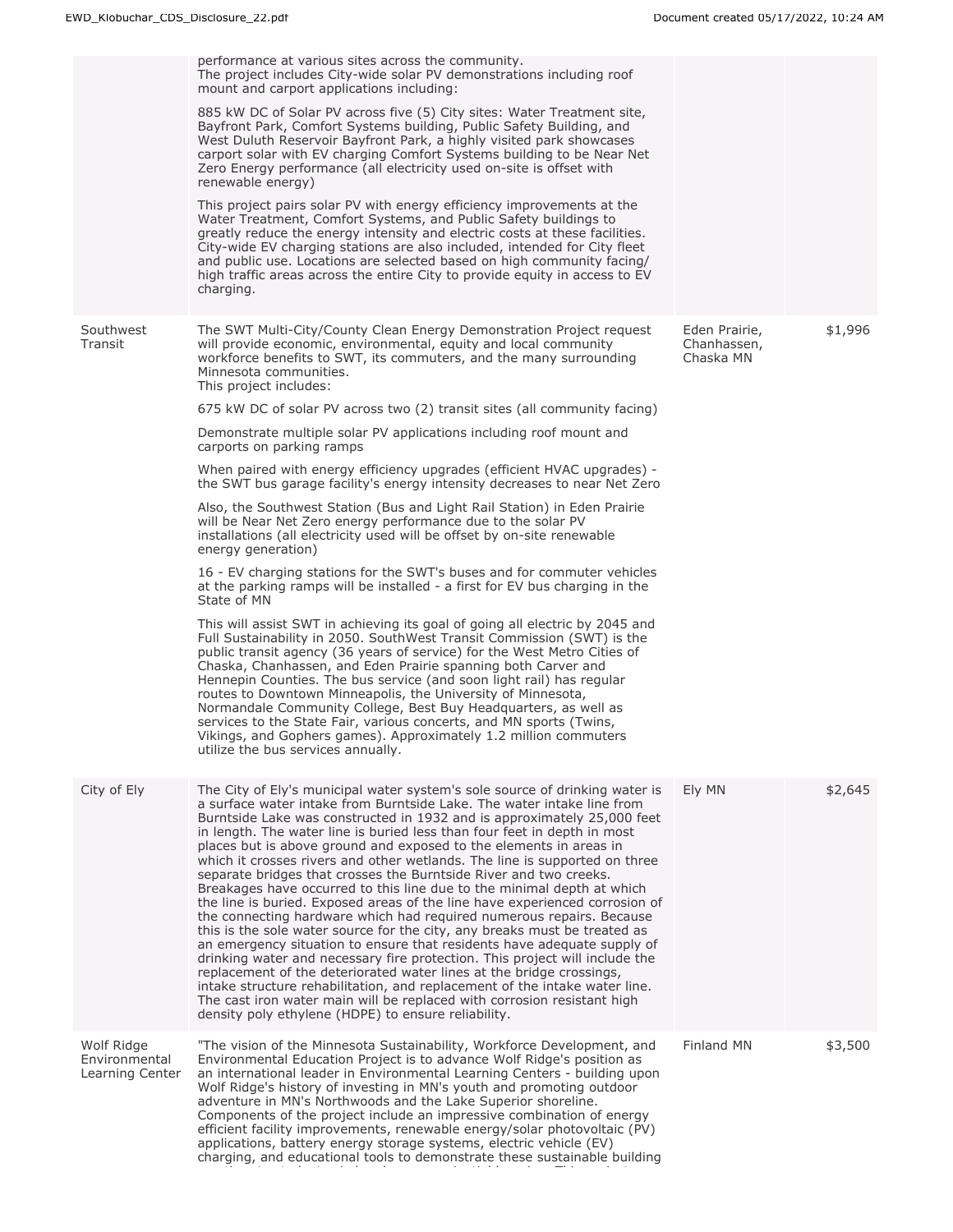|                                                | performance at various sites across the community.<br>The project includes City-wide solar PV demonstrations including roof<br>mount and carport applications including:<br>885 kW DC of Solar PV across five (5) City sites: Water Treatment site,<br>Bayfront Park, Comfort Systems building, Public Safety Building, and<br>West Duluth Reservoir Bayfront Park, a highly visited park showcases<br>carport solar with EV charging Comfort Systems building to be Near Net<br>Zero Energy performance (all electricity used on-site is offset with<br>renewable energy)<br>This project pairs solar PV with energy efficiency improvements at the<br>Water Treatment, Comfort Systems, and Public Safety buildings to<br>greatly reduce the energy intensity and electric costs at these facilities.<br>City-wide EV charging stations are also included, intended for City fleet<br>and public use. Locations are selected based on high community facing/<br>high traffic areas across the entire City to provide equity in access to EV<br>charging.                                                                                                                                                                                                                                                                                                                                                                                                                                                                                                                                                                                                                                                                           |                                           |         |
|------------------------------------------------|--------------------------------------------------------------------------------------------------------------------------------------------------------------------------------------------------------------------------------------------------------------------------------------------------------------------------------------------------------------------------------------------------------------------------------------------------------------------------------------------------------------------------------------------------------------------------------------------------------------------------------------------------------------------------------------------------------------------------------------------------------------------------------------------------------------------------------------------------------------------------------------------------------------------------------------------------------------------------------------------------------------------------------------------------------------------------------------------------------------------------------------------------------------------------------------------------------------------------------------------------------------------------------------------------------------------------------------------------------------------------------------------------------------------------------------------------------------------------------------------------------------------------------------------------------------------------------------------------------------------------------------------------------------------------------------------------------------------------------------|-------------------------------------------|---------|
| Southwest<br>Transit                           | The SWT Multi-City/County Clean Energy Demonstration Project request<br>will provide economic, environmental, equity and local community<br>workforce benefits to SWT, its commuters, and the many surrounding<br>Minnesota communities.<br>This project includes:<br>675 kW DC of solar PV across two (2) transit sites (all community facing)<br>Demonstrate multiple solar PV applications including roof mount and<br>carports on parking ramps<br>When paired with energy efficiency upgrades (efficient HVAC upgrades) -<br>the SWT bus garage facility's energy intensity decreases to near Net Zero<br>Also, the Southwest Station (Bus and Light Rail Station) in Eden Prairie<br>will be Near Net Zero energy performance due to the solar PV<br>installations (all electricity used will be offset by on-site renewable<br>energy generation)<br>16 - EV charging stations for the SWT's buses and for commuter vehicles<br>at the parking ramps will be installed - a first for EV bus charging in the<br>State of MN<br>This will assist SWT in achieving its goal of going all electric by 2045 and<br>Full Sustainability in 2050. SouthWest Transit Commission (SWT) is the<br>public transit agency (36 years of service) for the West Metro Cities of<br>Chaska, Chanhassen, and Eden Prairie spanning both Carver and<br>Hennepin Counties. The bus service (and soon light rail) has regular<br>routes to Downtown Minneapolis, the University of Minnesota,<br>Normandale Community College, Best Buy Headquarters, as well as<br>services to the State Fair, various concerts, and MN sports (Twins,<br>Vikings, and Gophers games). Approximately 1.2 million commuters<br>utilize the bus services annually. | Eden Prairie,<br>Chanhassen,<br>Chaska MN | \$1,996 |
| City of Ely                                    | The City of Ely's municipal water system's sole source of drinking water is<br>a surface water intake from Burntside Lake. The water intake line from<br>Burntside Lake was constructed in 1932 and is approximately 25,000 feet<br>in length. The water line is buried less than four feet in depth in most<br>places but is above ground and exposed to the elements in areas in<br>which it crosses rivers and other wetlands. The line is supported on three<br>separate bridges that crosses the Burntside River and two creeks.<br>Breakages have occurred to this line due to the minimal depth at which<br>the line is buried. Exposed areas of the line have experienced corrosion of<br>the connecting hardware which had required numerous repairs. Because<br>this is the sole water source for the city, any breaks must be treated as<br>an emergency situation to ensure that residents have adequate supply of<br>drinking water and necessary fire protection. This project will include the<br>replacement of the deteriorated water lines at the bridge crossings,<br>intake structure rehabilitation, and replacement of the intake water line.<br>The cast iron water main will be replaced with corrosion resistant high<br>density poly ethylene (HDPE) to ensure reliability.                                                                                                                                                                                                                                                                                                                                                                                                                                | Ely MN                                    | \$2,645 |
| Wolf Ridge<br>Environmental<br>Learning Center | "The vision of the Minnesota Sustainability, Workforce Development, and<br>Environmental Education Project is to advance Wolf Ridge's position as<br>an international leader in Environmental Learning Centers - building upon<br>Wolf Ridge's history of investing in MN's youth and promoting outdoor<br>adventure in MN's Northwoods and the Lake Superior shoreline.<br>Components of the project include an impressive combination of energy<br>efficient facility improvements, renewable energy/solar photovoltaic (PV)<br>applications, battery energy storage systems, electric vehicle (EV)<br>charging, and educational tools to demonstrate these sustainable building                                                                                                                                                                                                                                                                                                                                                                                                                                                                                                                                                                                                                                                                                                                                                                                                                                                                                                                                                                                                                                                   | Finland MN                                | \$3,500 |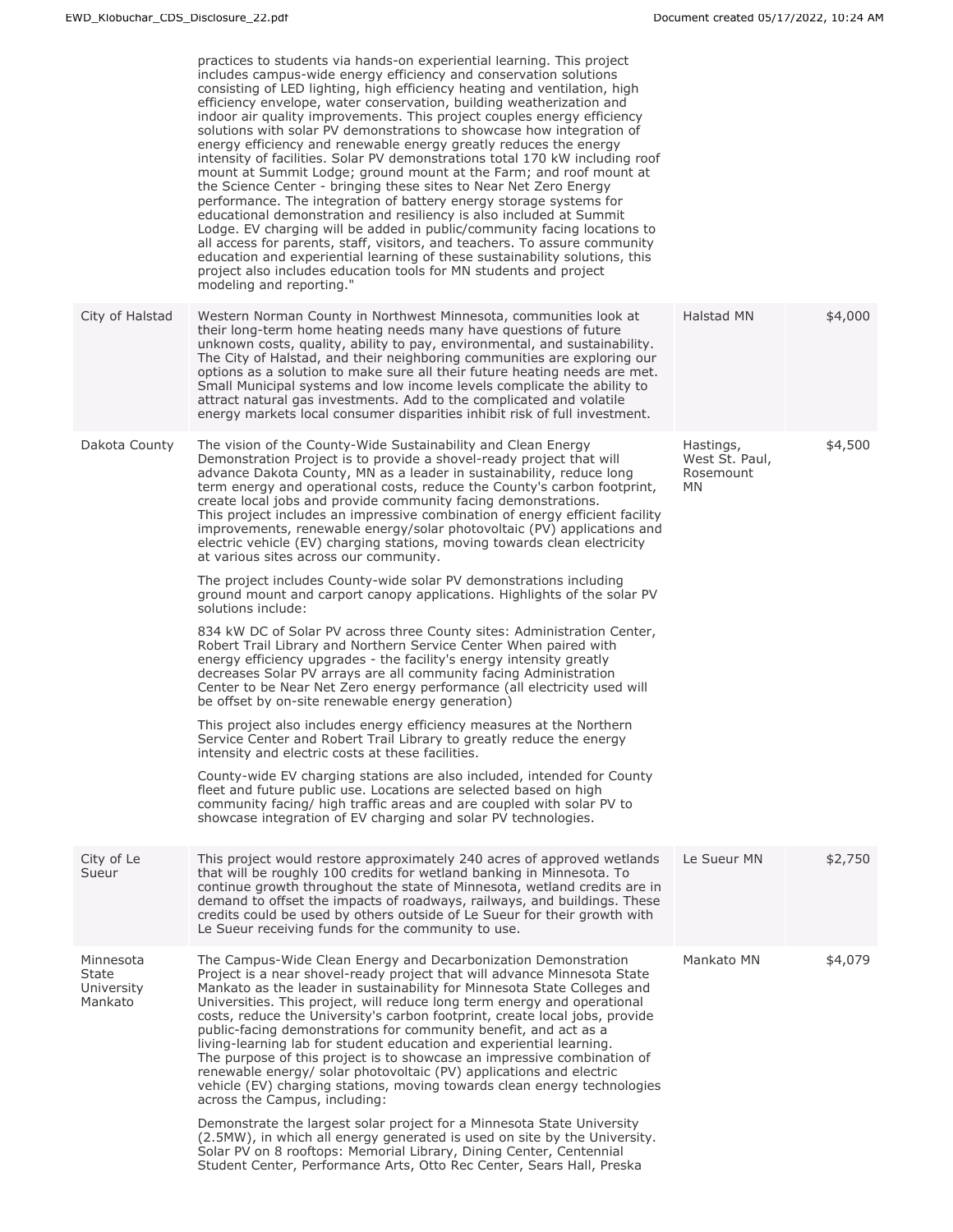|                                             | practices to students via hands-on experiential learning. This project<br>includes campus-wide energy efficiency and conservation solutions<br>consisting of LED lighting, high efficiency heating and ventilation, high<br>efficiency envelope, water conservation, building weatherization and<br>indoor air quality improvements. This project couples energy efficiency<br>solutions with solar PV demonstrations to showcase how integration of<br>energy efficiency and renewable energy greatly reduces the energy<br>intensity of facilities. Solar PV demonstrations total 170 kW including roof<br>mount at Summit Lodge; ground mount at the Farm; and roof mount at<br>the Science Center - bringing these sites to Near Net Zero Energy<br>performance. The integration of battery energy storage systems for<br>educational demonstration and resiliency is also included at Summit<br>Lodge. EV charging will be added in public/community facing locations to<br>all access for parents, staff, visitors, and teachers. To assure community<br>education and experiential learning of these sustainability solutions, this<br>project also includes education tools for MN students and project<br>modeling and reporting." |                                                       |         |
|---------------------------------------------|---------------------------------------------------------------------------------------------------------------------------------------------------------------------------------------------------------------------------------------------------------------------------------------------------------------------------------------------------------------------------------------------------------------------------------------------------------------------------------------------------------------------------------------------------------------------------------------------------------------------------------------------------------------------------------------------------------------------------------------------------------------------------------------------------------------------------------------------------------------------------------------------------------------------------------------------------------------------------------------------------------------------------------------------------------------------------------------------------------------------------------------------------------------------------------------------------------------------------------------------|-------------------------------------------------------|---------|
| City of Halstad                             | Western Norman County in Northwest Minnesota, communities look at<br>their long-term home heating needs many have questions of future<br>unknown costs, quality, ability to pay, environmental, and sustainability.<br>The City of Halstad, and their neighboring communities are exploring our<br>options as a solution to make sure all their future heating needs are met.<br>Small Municipal systems and low income levels complicate the ability to<br>attract natural gas investments. Add to the complicated and volatile<br>energy markets local consumer disparities inhibit risk of full investment.                                                                                                                                                                                                                                                                                                                                                                                                                                                                                                                                                                                                                              | Halstad MN                                            | \$4,000 |
| Dakota County                               | The vision of the County-Wide Sustainability and Clean Energy<br>Demonstration Project is to provide a shovel-ready project that will<br>advance Dakota County, MN as a leader in sustainability, reduce long<br>term energy and operational costs, reduce the County's carbon footprint,<br>create local jobs and provide community facing demonstrations.<br>This project includes an impressive combination of energy efficient facility<br>improvements, renewable energy/solar photovoltaic (PV) applications and<br>electric vehicle (EV) charging stations, moving towards clean electricity<br>at various sites across our community.                                                                                                                                                                                                                                                                                                                                                                                                                                                                                                                                                                                               | Hastings,<br>West St. Paul,<br>Rosemount<br><b>MN</b> | \$4,500 |
|                                             | The project includes County-wide solar PV demonstrations including<br>ground mount and carport canopy applications. Highlights of the solar PV<br>solutions include:                                                                                                                                                                                                                                                                                                                                                                                                                                                                                                                                                                                                                                                                                                                                                                                                                                                                                                                                                                                                                                                                        |                                                       |         |
|                                             | 834 kW DC of Solar PV across three County sites: Administration Center,<br>Robert Trail Library and Northern Service Center When paired with<br>energy efficiency upgrades - the facility's energy intensity greatly<br>decreases Solar PV arrays are all community facing Administration<br>Center to be Near Net Zero energy performance (all electricity used will<br>be offset by on-site renewable energy generation)                                                                                                                                                                                                                                                                                                                                                                                                                                                                                                                                                                                                                                                                                                                                                                                                                  |                                                       |         |
|                                             | This project also includes energy efficiency measures at the Northern<br>Service Center and Robert Trail Library to greatly reduce the energy<br>intensity and electric costs at these facilities.                                                                                                                                                                                                                                                                                                                                                                                                                                                                                                                                                                                                                                                                                                                                                                                                                                                                                                                                                                                                                                          |                                                       |         |
|                                             | County-wide EV charging stations are also included, intended for County<br>fleet and future public use. Locations are selected based on high<br>community facing/ high traffic areas and are coupled with solar PV to<br>showcase integration of EV charging and solar PV technologies.                                                                                                                                                                                                                                                                                                                                                                                                                                                                                                                                                                                                                                                                                                                                                                                                                                                                                                                                                     |                                                       |         |
| City of Le<br>Sueur                         | This project would restore approximately 240 acres of approved wetlands<br>that will be roughly 100 credits for wetland banking in Minnesota. To<br>continue growth throughout the state of Minnesota, wetland credits are in<br>demand to offset the impacts of roadways, railways, and buildings. These<br>credits could be used by others outside of Le Sueur for their growth with<br>Le Sueur receiving funds for the community to use.                                                                                                                                                                                                                                                                                                                                                                                                                                                                                                                                                                                                                                                                                                                                                                                                | Le Sueur MN                                           | \$2,750 |
| Minnesota<br>State<br>University<br>Mankato | The Campus-Wide Clean Energy and Decarbonization Demonstration<br>Project is a near shovel-ready project that will advance Minnesota State<br>Mankato as the leader in sustainability for Minnesota State Colleges and<br>Universities. This project, will reduce long term energy and operational<br>costs, reduce the University's carbon footprint, create local jobs, provide<br>public-facing demonstrations for community benefit, and act as a<br>living-learning lab for student education and experiential learning.<br>The purpose of this project is to showcase an impressive combination of<br>renewable energy/ solar photovoltaic (PV) applications and electric<br>vehicle (EV) charging stations, moving towards clean energy technologies<br>across the Campus, including:                                                                                                                                                                                                                                                                                                                                                                                                                                                | Mankato MN                                            | \$4,079 |
|                                             | Demonstrate the largest solar project for a Minnesota State University<br>(2.5MW), in which all energy generated is used on site by the University.<br>Solar PV on 8 rooftops: Memorial Library, Dining Center, Centennial<br>Student Center, Performance Arts, Otto Rec Center, Sears Hall, Preska                                                                                                                                                                                                                                                                                                                                                                                                                                                                                                                                                                                                                                                                                                                                                                                                                                                                                                                                         |                                                       |         |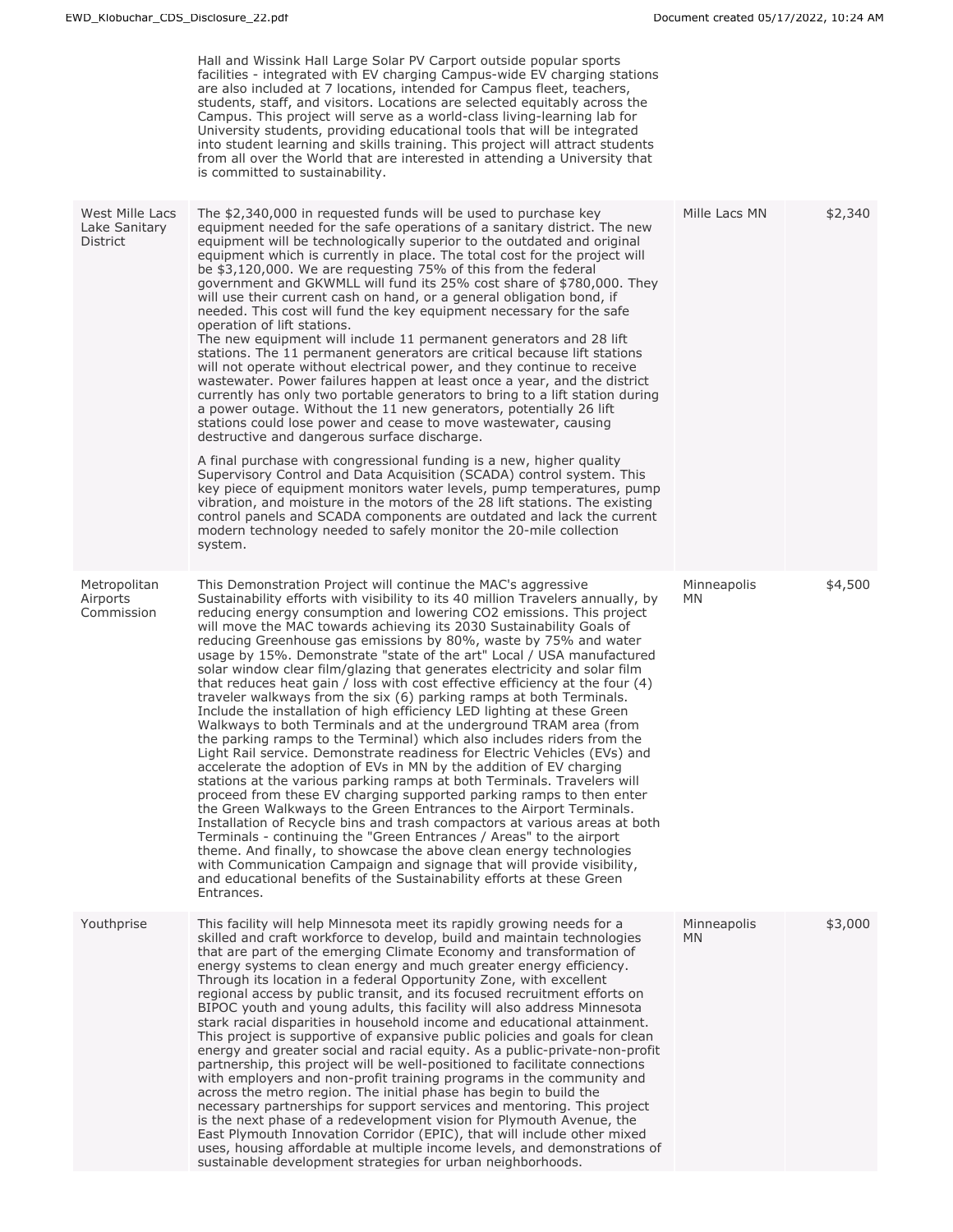|                                              | Hall and Wissink Hall Large Solar PV Carport outside popular sports<br>facilities - integrated with EV charging Campus-wide EV charging stations<br>are also included at 7 locations, intended for Campus fleet, teachers,<br>students, staff, and visitors. Locations are selected equitably across the<br>Campus. This project will serve as a world-class living-learning lab for<br>University students, providing educational tools that will be integrated<br>into student learning and skills training. This project will attract students<br>from all over the World that are interested in attending a University that<br>is committed to sustainability.                                                                                                                                                                                                                                                                                                                                                                                                                                                                                                                                                                                                                                                                                                                                                                                                                                                                                                                                                                                                                      |                    |         |
|----------------------------------------------|-----------------------------------------------------------------------------------------------------------------------------------------------------------------------------------------------------------------------------------------------------------------------------------------------------------------------------------------------------------------------------------------------------------------------------------------------------------------------------------------------------------------------------------------------------------------------------------------------------------------------------------------------------------------------------------------------------------------------------------------------------------------------------------------------------------------------------------------------------------------------------------------------------------------------------------------------------------------------------------------------------------------------------------------------------------------------------------------------------------------------------------------------------------------------------------------------------------------------------------------------------------------------------------------------------------------------------------------------------------------------------------------------------------------------------------------------------------------------------------------------------------------------------------------------------------------------------------------------------------------------------------------------------------------------------------------|--------------------|---------|
| West Mille Lacs<br>Lake Sanitary<br>District | The \$2,340,000 in requested funds will be used to purchase key<br>equipment needed for the safe operations of a sanitary district. The new<br>equipment will be technologically superior to the outdated and original<br>equipment which is currently in place. The total cost for the project will<br>be \$3,120,000. We are requesting 75% of this from the federal<br>government and GKWMLL will fund its 25% cost share of \$780,000. They<br>will use their current cash on hand, or a general obligation bond, if<br>needed. This cost will fund the key equipment necessary for the safe<br>operation of lift stations.<br>The new equipment will include 11 permanent generators and 28 lift<br>stations. The 11 permanent generators are critical because lift stations<br>will not operate without electrical power, and they continue to receive<br>wastewater. Power failures happen at least once a year, and the district<br>currently has only two portable generators to bring to a lift station during<br>a power outage. Without the 11 new generators, potentially 26 lift<br>stations could lose power and cease to move wastewater, causing<br>destructive and dangerous surface discharge.<br>A final purchase with congressional funding is a new, higher quality                                                                                                                                                                                                                                                                                                                                                                                               | Mille Lacs MN      | \$2,340 |
|                                              | Supervisory Control and Data Acquisition (SCADA) control system. This<br>key piece of equipment monitors water levels, pump temperatures, pump<br>vibration, and moisture in the motors of the 28 lift stations. The existing<br>control panels and SCADA components are outdated and lack the current<br>modern technology needed to safely monitor the 20-mile collection<br>system.                                                                                                                                                                                                                                                                                                                                                                                                                                                                                                                                                                                                                                                                                                                                                                                                                                                                                                                                                                                                                                                                                                                                                                                                                                                                                                  |                    |         |
| Metropolitan<br>Airports<br>Commission       | This Demonstration Project will continue the MAC's aggressive<br>Sustainability efforts with visibility to its 40 million Travelers annually, by<br>reducing energy consumption and lowering CO2 emissions. This project<br>will move the MAC towards achieving its 2030 Sustainability Goals of<br>reducing Greenhouse gas emissions by 80%, waste by 75% and water<br>usage by 15%. Demonstrate "state of the art" Local / USA manufactured<br>solar window clear film/glazing that generates electricity and solar film<br>that reduces heat gain / loss with cost effective efficiency at the four $(4)$<br>traveler walkways from the six (6) parking ramps at both Terminals.<br>Include the installation of high efficiency LED lighting at these Green<br>Walkways to both Terminals and at the underground TRAM area (from<br>the parking ramps to the Terminal) which also includes riders from the<br>Light Rail service. Demonstrate readiness for Electric Vehicles (EVs) and<br>accelerate the adoption of EVs in MN by the addition of EV charging<br>stations at the various parking ramps at both Terminals. Travelers will<br>proceed from these EV charging supported parking ramps to then enter<br>the Green Walkways to the Green Entrances to the Airport Terminals.<br>Installation of Recycle bins and trash compactors at various areas at both<br>Terminals - continuing the "Green Entrances / Areas" to the airport<br>theme. And finally, to showcase the above clean energy technologies<br>with Communication Campaign and signage that will provide visibility,<br>and educational benefits of the Sustainability efforts at these Green<br>Entrances. | Minneapolis<br>MN. | \$4,500 |
| Youthprise                                   | This facility will help Minnesota meet its rapidly growing needs for a<br>skilled and craft workforce to develop, build and maintain technologies<br>that are part of the emerging Climate Economy and transformation of<br>energy systems to clean energy and much greater energy efficiency.<br>Through its location in a federal Opportunity Zone, with excellent<br>regional access by public transit, and its focused recruitment efforts on<br>BIPOC youth and young adults, this facility will also address Minnesota<br>stark racial disparities in household income and educational attainment.<br>This project is supportive of expansive public policies and goals for clean<br>energy and greater social and racial equity. As a public-private-non-profit<br>partnership, this project will be well-positioned to facilitate connections<br>with employers and non-profit training programs in the community and<br>across the metro region. The initial phase has begin to build the<br>necessary partnerships for support services and mentoring. This project<br>is the next phase of a redevelopment vision for Plymouth Avenue, the<br>East Plymouth Innovation Corridor (EPIC), that will include other mixed<br>uses, housing affordable at multiple income levels, and demonstrations of<br>sustainable development strategies for urban neighborhoods.                                                                                                                                                                                                                                                                                                            | Minneapolis<br>MN. | \$3,000 |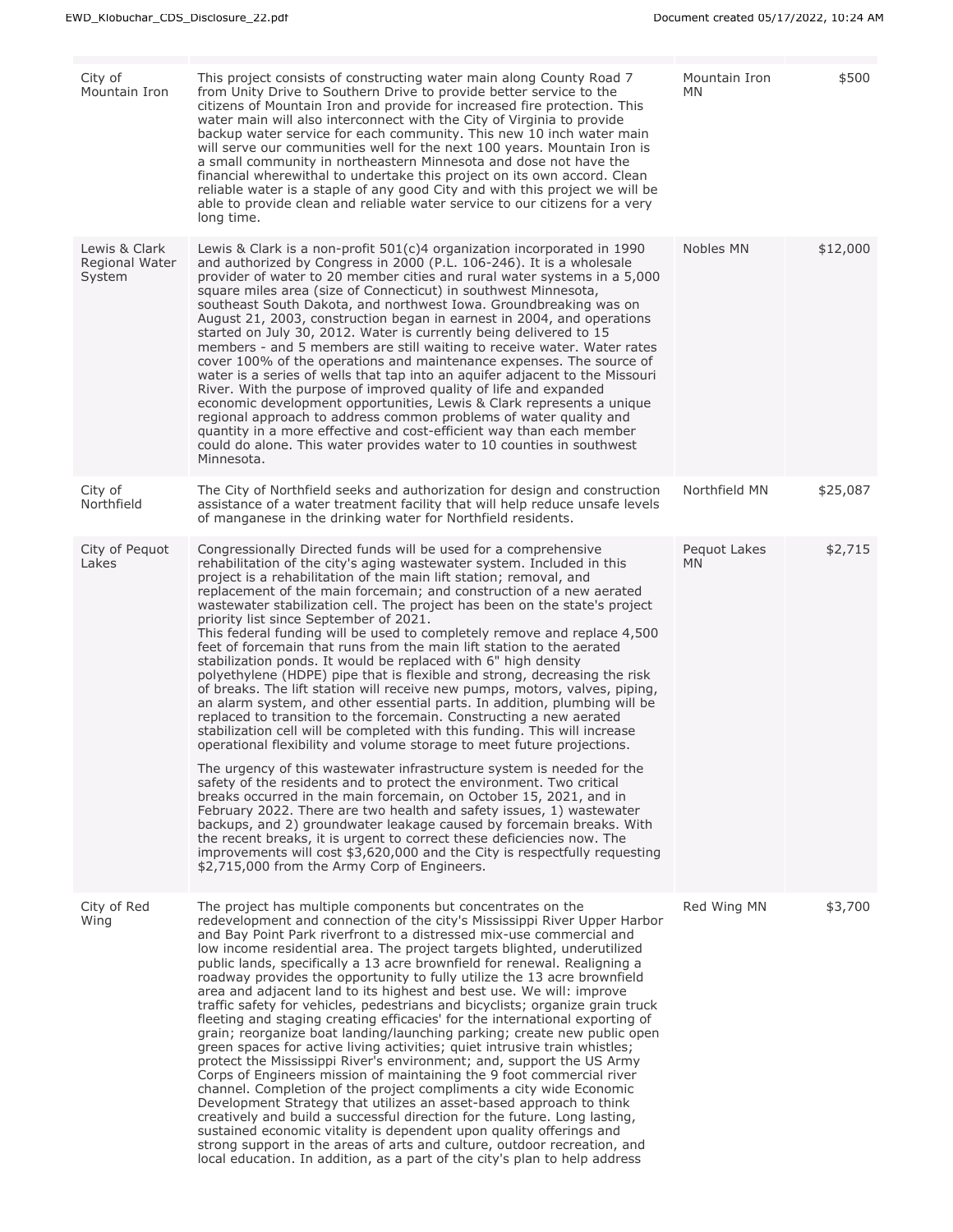| City of<br>Mountain Iron                  | This project consists of constructing water main along County Road 7<br>from Unity Drive to Southern Drive to provide better service to the<br>citizens of Mountain Iron and provide for increased fire protection. This<br>water main will also interconnect with the City of Virginia to provide<br>backup water service for each community. This new 10 inch water main<br>will serve our communities well for the next 100 years. Mountain Iron is<br>a small community in northeastern Minnesota and dose not have the<br>financial wherewithal to undertake this project on its own accord. Clean<br>reliable water is a staple of any good City and with this project we will be<br>able to provide clean and reliable water service to our citizens for a very<br>long time.                                                                                                                                                                                                                                                                                                                                                                                                                                                                                                                                                                                                                                                                                                                                                                                                                                                                                                           | Mountain Iron<br>MN. | \$500    |
|-------------------------------------------|------------------------------------------------------------------------------------------------------------------------------------------------------------------------------------------------------------------------------------------------------------------------------------------------------------------------------------------------------------------------------------------------------------------------------------------------------------------------------------------------------------------------------------------------------------------------------------------------------------------------------------------------------------------------------------------------------------------------------------------------------------------------------------------------------------------------------------------------------------------------------------------------------------------------------------------------------------------------------------------------------------------------------------------------------------------------------------------------------------------------------------------------------------------------------------------------------------------------------------------------------------------------------------------------------------------------------------------------------------------------------------------------------------------------------------------------------------------------------------------------------------------------------------------------------------------------------------------------------------------------------------------------------------------------------------------------|----------------------|----------|
| Lewis & Clark<br>Regional Water<br>System | Lewis & Clark is a non-profit $501(c)4$ organization incorporated in 1990<br>and authorized by Congress in 2000 (P.L. 106-246). It is a wholesale<br>provider of water to 20 member cities and rural water systems in a 5,000<br>square miles area (size of Connecticut) in southwest Minnesota,<br>southeast South Dakota, and northwest Iowa. Groundbreaking was on<br>August 21, 2003, construction began in earnest in 2004, and operations<br>started on July 30, 2012. Water is currently being delivered to 15<br>members - and 5 members are still waiting to receive water. Water rates<br>cover 100% of the operations and maintenance expenses. The source of<br>water is a series of wells that tap into an aquifer adjacent to the Missouri<br>River. With the purpose of improved quality of life and expanded<br>economic development opportunities, Lewis & Clark represents a unique<br>regional approach to address common problems of water quality and<br>quantity in a more effective and cost-efficient way than each member<br>could do alone. This water provides water to 10 counties in southwest<br>Minnesota.                                                                                                                                                                                                                                                                                                                                                                                                                                                                                                                                                      | Nobles MN            | \$12,000 |
| City of<br>Northfield                     | The City of Northfield seeks and authorization for design and construction<br>assistance of a water treatment facility that will help reduce unsafe levels<br>of manganese in the drinking water for Northfield residents.                                                                                                                                                                                                                                                                                                                                                                                                                                                                                                                                                                                                                                                                                                                                                                                                                                                                                                                                                                                                                                                                                                                                                                                                                                                                                                                                                                                                                                                                     | Northfield MN        | \$25,087 |
| City of Pequot<br>Lakes                   | Congressionally Directed funds will be used for a comprehensive<br>rehabilitation of the city's aging wastewater system. Included in this<br>project is a rehabilitation of the main lift station; removal, and<br>replacement of the main forcemain; and construction of a new aerated<br>wastewater stabilization cell. The project has been on the state's project<br>priority list since September of 2021.<br>This federal funding will be used to completely remove and replace 4,500<br>feet of forcemain that runs from the main lift station to the aerated<br>stabilization ponds. It would be replaced with 6" high density<br>polyethylene (HDPE) pipe that is flexible and strong, decreasing the risk<br>of breaks. The lift station will receive new pumps, motors, valves, piping,<br>an alarm system, and other essential parts. In addition, plumbing will be<br>replaced to transition to the forcemain. Constructing a new aerated<br>stabilization cell will be completed with this funding. This will increase<br>operational flexibility and volume storage to meet future projections.<br>The urgency of this wastewater infrastructure system is needed for the<br>safety of the residents and to protect the environment. Two critical<br>breaks occurred in the main forcemain, on October 15, 2021, and in<br>February 2022. There are two health and safety issues, 1) wastewater<br>backups, and 2) groundwater leakage caused by forcemain breaks. With<br>the recent breaks, it is urgent to correct these deficiencies now. The<br>improvements will cost \$3,620,000 and the City is respectfully requesting<br>\$2,715,000 from the Army Corp of Engineers. | Pequot Lakes<br>MN.  | \$2,715  |
| City of Red<br>Wing                       | The project has multiple components but concentrates on the<br>redevelopment and connection of the city's Mississippi River Upper Harbor<br>and Bay Point Park riverfront to a distressed mix-use commercial and<br>low income residential area. The project targets blighted, underutilized<br>public lands, specifically a 13 acre brownfield for renewal. Realigning a<br>roadway provides the opportunity to fully utilize the 13 acre brownfield<br>area and adjacent land to its highest and best use. We will: improve<br>traffic safety for vehicles, pedestrians and bicyclists; organize grain truck<br>fleeting and staging creating efficacies' for the international exporting of<br>grain; reorganize boat landing/launching parking; create new public open<br>green spaces for active living activities; quiet intrusive train whistles;<br>protect the Mississippi River's environment; and, support the US Army<br>Corps of Engineers mission of maintaining the 9 foot commercial river<br>channel. Completion of the project compliments a city wide Economic<br>Development Strategy that utilizes an asset-based approach to think<br>creatively and build a successful direction for the future. Long lasting,<br>sustained economic vitality is dependent upon quality offerings and<br>strong support in the areas of arts and culture, outdoor recreation, and<br>local education. In addition, as a part of the city's plan to help address                                                                                                                                                                                                                         | Red Wing MN          | \$3,700  |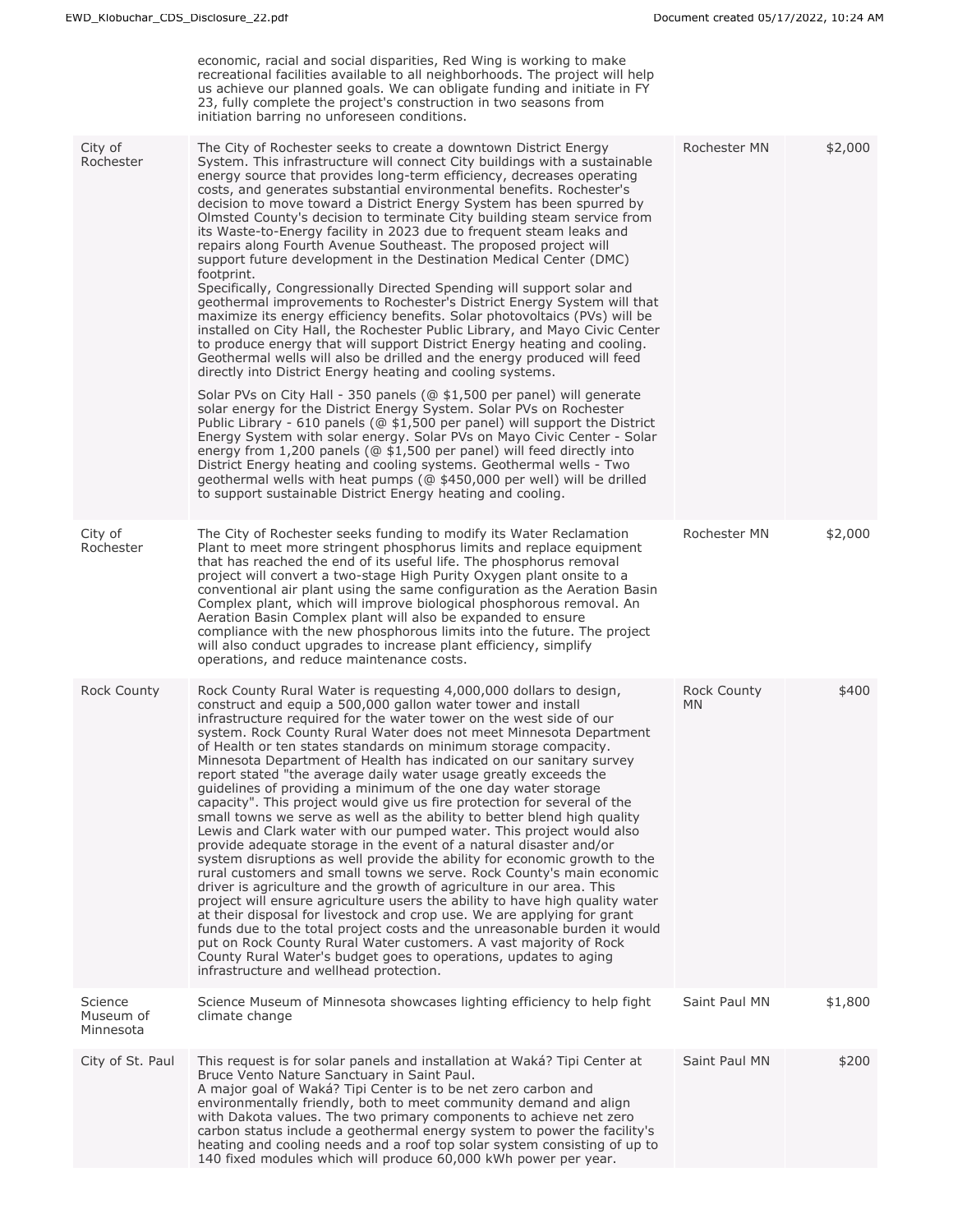|                                   | economic, racial and social disparities, Red Wing is working to make<br>recreational facilities available to all neighborhoods. The project will help<br>us achieve our planned goals. We can obligate funding and initiate in FY<br>23, fully complete the project's construction in two seasons from<br>initiation barring no unforeseen conditions.                                                                                                                                                                                                                                                                                                                                                                                                                                                                                                                                                                                                                                                                                                                                                                                                                                                                                                                                                                                                                                                                                                                                                                                                                                                                                                                                                                                                                                                                           |                           |         |
|-----------------------------------|----------------------------------------------------------------------------------------------------------------------------------------------------------------------------------------------------------------------------------------------------------------------------------------------------------------------------------------------------------------------------------------------------------------------------------------------------------------------------------------------------------------------------------------------------------------------------------------------------------------------------------------------------------------------------------------------------------------------------------------------------------------------------------------------------------------------------------------------------------------------------------------------------------------------------------------------------------------------------------------------------------------------------------------------------------------------------------------------------------------------------------------------------------------------------------------------------------------------------------------------------------------------------------------------------------------------------------------------------------------------------------------------------------------------------------------------------------------------------------------------------------------------------------------------------------------------------------------------------------------------------------------------------------------------------------------------------------------------------------------------------------------------------------------------------------------------------------|---------------------------|---------|
| City of<br>Rochester              | The City of Rochester seeks to create a downtown District Energy<br>System. This infrastructure will connect City buildings with a sustainable<br>energy source that provides long-term efficiency, decreases operating<br>costs, and generates substantial environmental benefits. Rochester's<br>decision to move toward a District Energy System has been spurred by<br>Olmsted County's decision to terminate City building steam service from<br>its Waste-to-Energy facility in 2023 due to frequent steam leaks and<br>repairs along Fourth Avenue Southeast. The proposed project will<br>support future development in the Destination Medical Center (DMC)<br>footprint.<br>Specifically, Congressionally Directed Spending will support solar and<br>geothermal improvements to Rochester's District Energy System will that<br>maximize its energy efficiency benefits. Solar photovoltaics (PVs) will be<br>installed on City Hall, the Rochester Public Library, and Mayo Civic Center<br>to produce energy that will support District Energy heating and cooling.<br>Geothermal wells will also be drilled and the energy produced will feed<br>directly into District Energy heating and cooling systems.<br>Solar PVs on City Hall - 350 panels (@ \$1,500 per panel) will generate<br>solar energy for the District Energy System. Solar PVs on Rochester<br>Public Library - 610 panels (@ \$1,500 per panel) will support the District<br>Energy System with solar energy. Solar PVs on Mayo Civic Center - Solar<br>energy from 1,200 panels (@ \$1,500 per panel) will feed directly into<br>District Energy heating and cooling systems. Geothermal wells - Two<br>geothermal wells with heat pumps (@ \$450,000 per well) will be drilled<br>to support sustainable District Energy heating and cooling. | Rochester MN              | \$2,000 |
| City of<br>Rochester              | The City of Rochester seeks funding to modify its Water Reclamation<br>Plant to meet more stringent phosphorus limits and replace equipment<br>that has reached the end of its useful life. The phosphorus removal<br>project will convert a two-stage High Purity Oxygen plant onsite to a<br>conventional air plant using the same configuration as the Aeration Basin<br>Complex plant, which will improve biological phosphorous removal. An<br>Aeration Basin Complex plant will also be expanded to ensure<br>compliance with the new phosphorous limits into the future. The project<br>will also conduct upgrades to increase plant efficiency, simplify<br>operations, and reduce maintenance costs.                                                                                                                                                                                                                                                                                                                                                                                                                                                                                                                                                                                                                                                                                                                                                                                                                                                                                                                                                                                                                                                                                                                    | Rochester MN              | \$2,000 |
| <b>Rock County</b>                | Rock County Rural Water is requesting 4,000,000 dollars to design,<br>construct and equip a 500,000 gallon water tower and install<br>infrastructure required for the water tower on the west side of our<br>system. Rock County Rural Water does not meet Minnesota Department<br>of Health or ten states standards on minimum storage compacity.<br>Minnesota Department of Health has indicated on our sanitary survey<br>report stated "the average daily water usage greatly exceeds the<br>quidelines of providing a minimum of the one day water storage<br>capacity". This project would give us fire protection for several of the<br>small towns we serve as well as the ability to better blend high quality<br>Lewis and Clark water with our pumped water. This project would also<br>provide adequate storage in the event of a natural disaster and/or<br>system disruptions as well provide the ability for economic growth to the<br>rural customers and small towns we serve. Rock County's main economic<br>driver is agriculture and the growth of agriculture in our area. This<br>project will ensure agriculture users the ability to have high quality water<br>at their disposal for livestock and crop use. We are applying for grant<br>funds due to the total project costs and the unreasonable burden it would<br>put on Rock County Rural Water customers. A vast majority of Rock<br>County Rural Water's budget goes to operations, updates to aging<br>infrastructure and wellhead protection.                                                                                                                                                                                                                                                                                                 | <b>Rock County</b><br>MN. | \$400   |
| Science<br>Museum of<br>Minnesota | Science Museum of Minnesota showcases lighting efficiency to help fight<br>climate change                                                                                                                                                                                                                                                                                                                                                                                                                                                                                                                                                                                                                                                                                                                                                                                                                                                                                                                                                                                                                                                                                                                                                                                                                                                                                                                                                                                                                                                                                                                                                                                                                                                                                                                                        | Saint Paul MN             | \$1,800 |
| City of St. Paul                  | This request is for solar panels and installation at Waká? Tipi Center at<br>Bruce Vento Nature Sanctuary in Saint Paul.<br>A major goal of Waká? Tipi Center is to be net zero carbon and<br>environmentally friendly, both to meet community demand and align<br>with Dakota values. The two primary components to achieve net zero<br>carbon status include a geothermal energy system to power the facility's<br>heating and cooling needs and a roof top solar system consisting of up to<br>140 fixed modules which will produce 60,000 kWh power per year.                                                                                                                                                                                                                                                                                                                                                                                                                                                                                                                                                                                                                                                                                                                                                                                                                                                                                                                                                                                                                                                                                                                                                                                                                                                                | Saint Paul MN             | \$200   |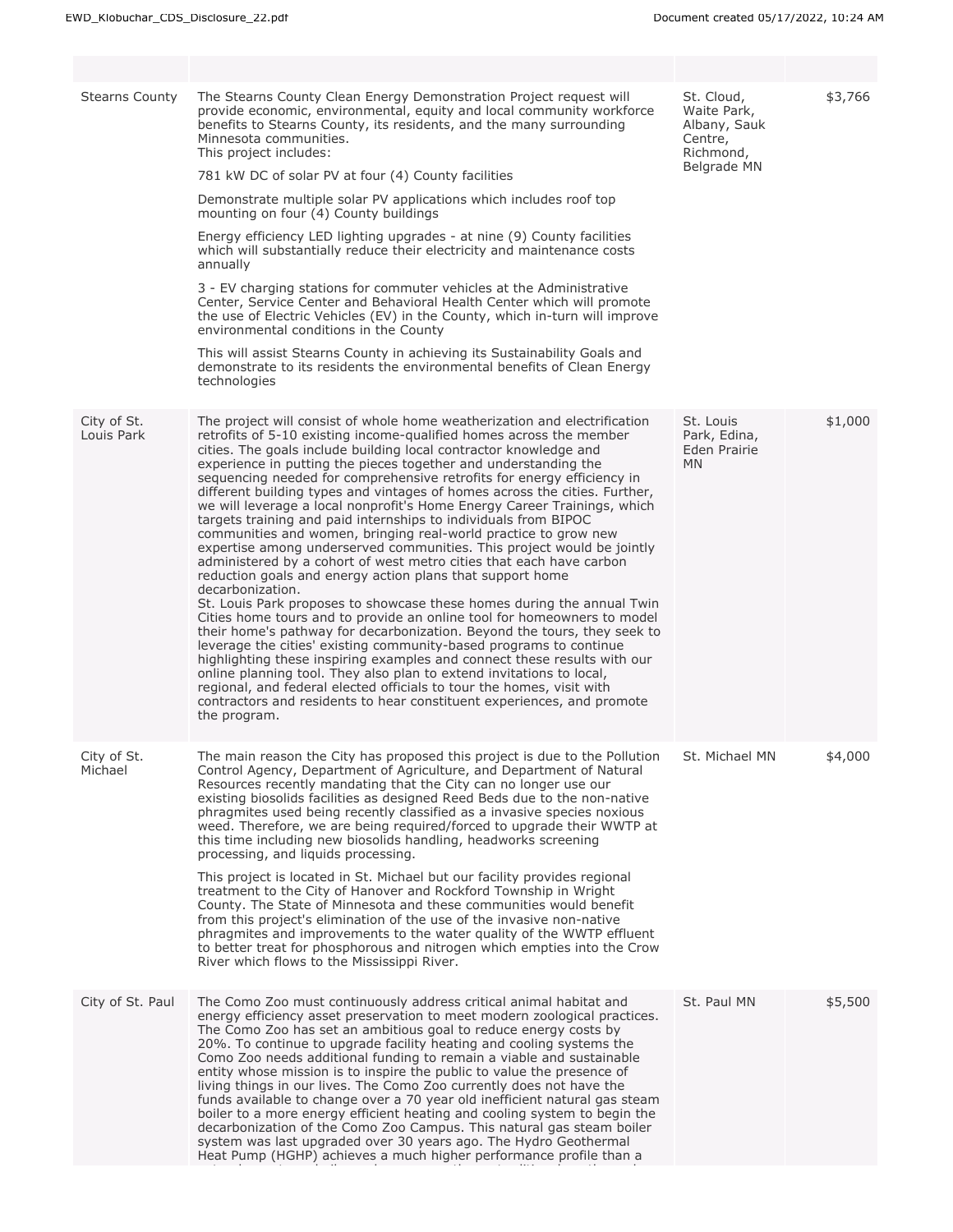| <b>Stearns County</b>     | The Stearns County Clean Energy Demonstration Project request will<br>provide economic, environmental, equity and local community workforce<br>benefits to Stearns County, its residents, and the many surrounding<br>Minnesota communities.<br>This project includes:<br>781 kW DC of solar PV at four (4) County facilities<br>Demonstrate multiple solar PV applications which includes roof top<br>mounting on four (4) County buildings<br>Energy efficiency LED lighting upgrades - at nine (9) County facilities<br>which will substantially reduce their electricity and maintenance costs<br>annually<br>3 - EV charging stations for commuter vehicles at the Administrative<br>Center, Service Center and Behavioral Health Center which will promote<br>the use of Electric Vehicles (EV) in the County, which in-turn will improve<br>environmental conditions in the County<br>This will assist Stearns County in achieving its Sustainability Goals and<br>demonstrate to its residents the environmental benefits of Clean Energy<br>technologies                                                                                                                                                                                                                                                                                                                                                                                                                                                                  | St. Cloud,<br>Waite Park,<br>Albany, Sauk<br>Centre,<br>Richmond,<br>Belgrade MN | \$3,766 |
|---------------------------|------------------------------------------------------------------------------------------------------------------------------------------------------------------------------------------------------------------------------------------------------------------------------------------------------------------------------------------------------------------------------------------------------------------------------------------------------------------------------------------------------------------------------------------------------------------------------------------------------------------------------------------------------------------------------------------------------------------------------------------------------------------------------------------------------------------------------------------------------------------------------------------------------------------------------------------------------------------------------------------------------------------------------------------------------------------------------------------------------------------------------------------------------------------------------------------------------------------------------------------------------------------------------------------------------------------------------------------------------------------------------------------------------------------------------------------------------------------------------------------------------------------------------------|----------------------------------------------------------------------------------|---------|
| City of St.<br>Louis Park | The project will consist of whole home weatherization and electrification<br>retrofits of 5-10 existing income-qualified homes across the member<br>cities. The goals include building local contractor knowledge and<br>experience in putting the pieces together and understanding the<br>sequencing needed for comprehensive retrofits for energy efficiency in<br>different building types and vintages of homes across the cities. Further,<br>we will leverage a local nonprofit's Home Energy Career Trainings, which<br>targets training and paid internships to individuals from BIPOC<br>communities and women, bringing real-world practice to grow new<br>expertise among underserved communities. This project would be jointly<br>administered by a cohort of west metro cities that each have carbon<br>reduction goals and energy action plans that support home<br>decarbonization.<br>St. Louis Park proposes to showcase these homes during the annual Twin<br>Cities home tours and to provide an online tool for homeowners to model<br>their home's pathway for decarbonization. Beyond the tours, they seek to<br>leverage the cities' existing community-based programs to continue<br>highlighting these inspiring examples and connect these results with our<br>online planning tool. They also plan to extend invitations to local,<br>regional, and federal elected officials to tour the homes, visit with<br>contractors and residents to hear constituent experiences, and promote<br>the program. | St. Louis<br>Park, Edina,<br>Eden Prairie<br><b>MN</b>                           | \$1,000 |
| City of St.<br>Michael    | The main reason the City has proposed this project is due to the Pollution<br>Control Agency, Department of Agriculture, and Department of Natural<br>Resources recently mandating that the City can no longer use our<br>existing biosolids facilities as designed Reed Beds due to the non-native<br>phragmites used being recently classified as a invasive species noxious<br>weed. Therefore, we are being required/forced to upgrade their WWTP at<br>this time including new biosolids handling, headworks screening<br>processing, and liquids processing.<br>This project is located in St. Michael but our facility provides regional<br>treatment to the City of Hanover and Rockford Township in Wright<br>County. The State of Minnesota and these communities would benefit<br>from this project's elimination of the use of the invasive non-native<br>phragmites and improvements to the water quality of the WWTP effluent<br>to better treat for phosphorous and nitrogen which empties into the Crow<br>River which flows to the Mississippi River.                                                                                                                                                                                                                                                                                                                                                                                                                                                             | St. Michael MN                                                                   | \$4,000 |
| City of St. Paul          | The Como Zoo must continuously address critical animal habitat and<br>energy efficiency asset preservation to meet modern zoological practices.<br>The Como Zoo has set an ambitious goal to reduce energy costs by<br>20%. To continue to upgrade facility heating and cooling systems the<br>Como Zoo needs additional funding to remain a viable and sustainable<br>entity whose mission is to inspire the public to value the presence of<br>living things in our lives. The Como Zoo currently does not have the<br>funds available to change over a 70 year old inefficient natural gas steam<br>boiler to a more energy efficient heating and cooling system to begin the<br>decarbonization of the Como Zoo Campus. This natural gas steam boiler<br>system was last upgraded over 30 years ago. The Hydro Geothermal<br>Heat Pump (HGHP) achieves a much higher performance profile than a                                                                                                                                                                                                                                                                                                                                                                                                                                                                                                                                                                                                                                | St. Paul MN                                                                      | \$5,500 |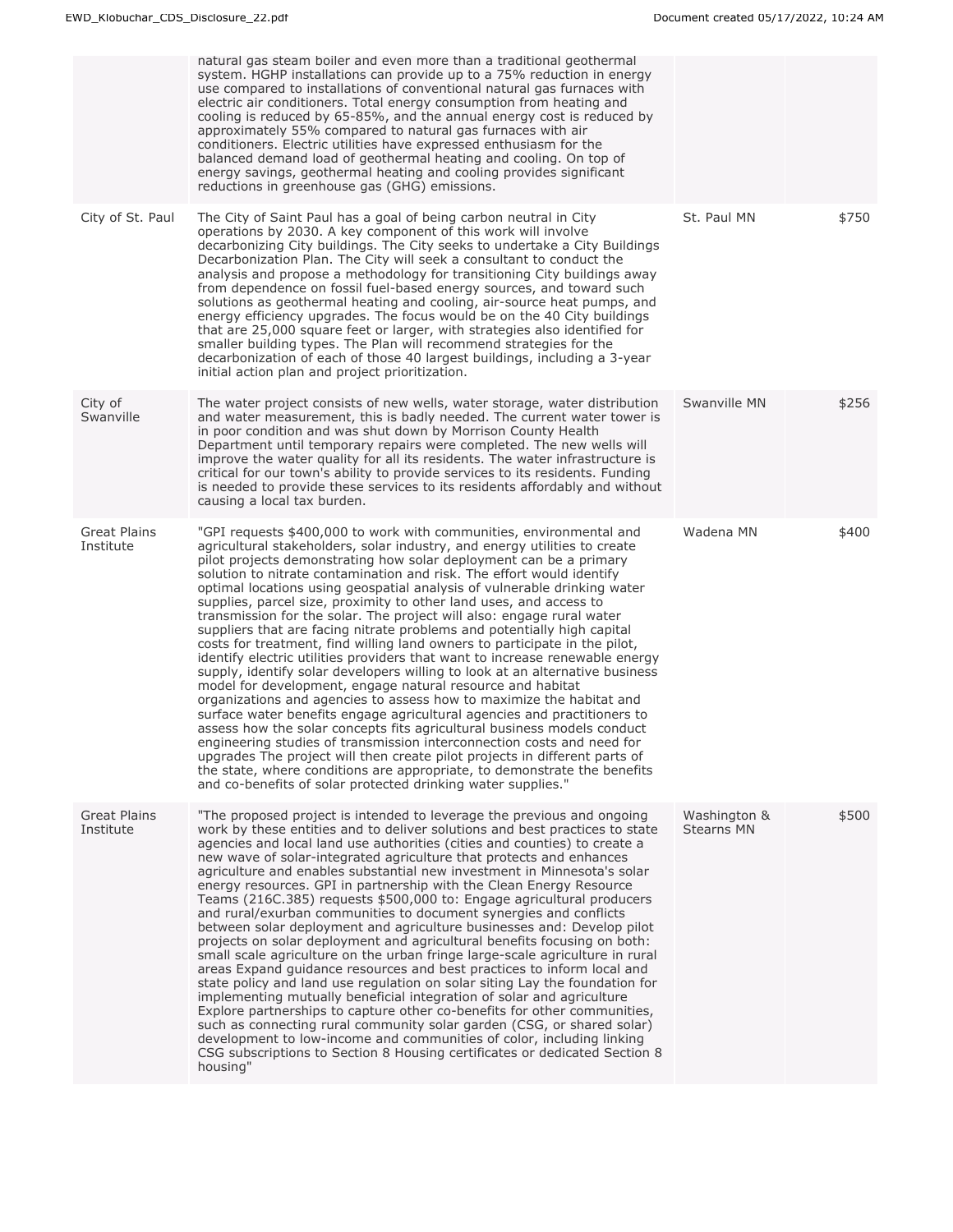|                                  | natural gas steam boiler and even more than a traditional geothermal<br>system. HGHP installations can provide up to a 75% reduction in energy<br>use compared to installations of conventional natural gas furnaces with<br>electric air conditioners. Total energy consumption from heating and<br>cooling is reduced by 65-85%, and the annual energy cost is reduced by<br>approximately 55% compared to natural gas furnaces with air<br>conditioners. Electric utilities have expressed enthusiasm for the<br>balanced demand load of geothermal heating and cooling. On top of<br>energy savings, geothermal heating and cooling provides significant<br>reductions in greenhouse gas (GHG) emissions.                                                                                                                                                                                                                                                                                                                                                                                                                                                                                                                                                                                                                                                                                                                                        |                                   |       |
|----------------------------------|------------------------------------------------------------------------------------------------------------------------------------------------------------------------------------------------------------------------------------------------------------------------------------------------------------------------------------------------------------------------------------------------------------------------------------------------------------------------------------------------------------------------------------------------------------------------------------------------------------------------------------------------------------------------------------------------------------------------------------------------------------------------------------------------------------------------------------------------------------------------------------------------------------------------------------------------------------------------------------------------------------------------------------------------------------------------------------------------------------------------------------------------------------------------------------------------------------------------------------------------------------------------------------------------------------------------------------------------------------------------------------------------------------------------------------------------------|-----------------------------------|-------|
| City of St. Paul                 | The City of Saint Paul has a goal of being carbon neutral in City<br>operations by 2030. A key component of this work will involve<br>decarbonizing City buildings. The City seeks to undertake a City Buildings<br>Decarbonization Plan. The City will seek a consultant to conduct the<br>analysis and propose a methodology for transitioning City buildings away<br>from dependence on fossil fuel-based energy sources, and toward such<br>solutions as geothermal heating and cooling, air-source heat pumps, and<br>energy efficiency upgrades. The focus would be on the 40 City buildings<br>that are 25,000 square feet or larger, with strategies also identified for<br>smaller building types. The Plan will recommend strategies for the<br>decarbonization of each of those 40 largest buildings, including a 3-year<br>initial action plan and project prioritization.                                                                                                                                                                                                                                                                                                                                                                                                                                                                                                                                                               | St. Paul MN                       | \$750 |
| City of<br>Swanville             | The water project consists of new wells, water storage, water distribution<br>and water measurement, this is badly needed. The current water tower is<br>in poor condition and was shut down by Morrison County Health<br>Department until temporary repairs were completed. The new wells will<br>improve the water quality for all its residents. The water infrastructure is<br>critical for our town's ability to provide services to its residents. Funding<br>is needed to provide these services to its residents affordably and without<br>causing a local tax burden.                                                                                                                                                                                                                                                                                                                                                                                                                                                                                                                                                                                                                                                                                                                                                                                                                                                                       | Swanville MN                      | \$256 |
| <b>Great Plains</b><br>Institute | "GPI requests \$400,000 to work with communities, environmental and<br>agricultural stakeholders, solar industry, and energy utilities to create<br>pilot projects demonstrating how solar deployment can be a primary<br>solution to nitrate contamination and risk. The effort would identify<br>optimal locations using geospatial analysis of vulnerable drinking water<br>supplies, parcel size, proximity to other land uses, and access to<br>transmission for the solar. The project will also: engage rural water<br>suppliers that are facing nitrate problems and potentially high capital<br>costs for treatment, find willing land owners to participate in the pilot,<br>identify electric utilities providers that want to increase renewable energy<br>supply, identify solar developers willing to look at an alternative business<br>model for development, engage natural resource and habitat<br>organizations and agencies to assess how to maximize the habitat and<br>surface water benefits engage agricultural agencies and practitioners to<br>assess how the solar concepts fits agricultural business models conduct<br>engineering studies of transmission interconnection costs and need for<br>upgrades The project will then create pilot projects in different parts of<br>the state, where conditions are appropriate, to demonstrate the benefits<br>and co-benefits of solar protected drinking water supplies." | Wadena MN                         | \$400 |
| <b>Great Plains</b><br>Institute | "The proposed project is intended to leverage the previous and ongoing<br>work by these entities and to deliver solutions and best practices to state<br>agencies and local land use authorities (cities and counties) to create a<br>new wave of solar-integrated agriculture that protects and enhances<br>agriculture and enables substantial new investment in Minnesota's solar<br>energy resources. GPI in partnership with the Clean Energy Resource<br>Teams (216C.385) requests \$500,000 to: Engage agricultural producers<br>and rural/exurban communities to document synergies and conflicts<br>between solar deployment and agriculture businesses and: Develop pilot<br>projects on solar deployment and agricultural benefits focusing on both:<br>small scale agriculture on the urban fringe large-scale agriculture in rural<br>areas Expand guidance resources and best practices to inform local and<br>state policy and land use regulation on solar siting Lay the foundation for<br>implementing mutually beneficial integration of solar and agriculture<br>Explore partnerships to capture other co-benefits for other communities,<br>such as connecting rural community solar garden (CSG, or shared solar)<br>development to low-income and communities of color, including linking<br>CSG subscriptions to Section 8 Housing certificates or dedicated Section 8<br>housing"                                           | Washington &<br><b>Stearns MN</b> | \$500 |